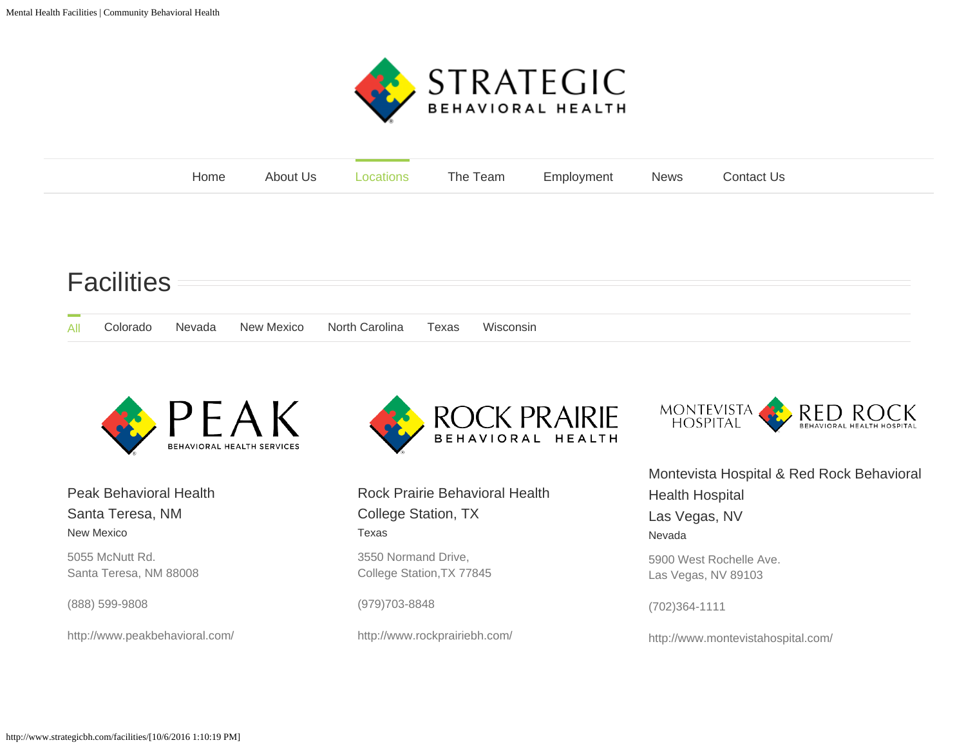

<span id="page-0-0"></span>

| Home |  | About Us Locations The Team Employment News Contact Us |  |
|------|--|--------------------------------------------------------|--|
|      |  |                                                        |  |

## **Facilities**

| All | Colorado | Nevada New Mexico | North Carolina | Texas | Wisconsin |
|-----|----------|-------------------|----------------|-------|-----------|



[Peak Behavioral Health](http://www.strategicbh.com/portfolio-items/peak-behavioral-health-santa-teresa-nm/)  [Santa Teresa, NM](http://www.strategicbh.com/portfolio-items/peak-behavioral-health-santa-teresa-nm/) [New Mexico](http://www.strategicbh.com/portfolio_category/new-mexico/)

5055 McNutt Rd. Santa Teresa, NM 88008

(888) 599-9808

http://www.peakbehavioral.com/



[Rock Prairie Behavioral Health](http://www.strategicbh.com/portfolio-items/rock-prairie-behavioral-health-college-station-tx/)  [College Station, TX](http://www.strategicbh.com/portfolio-items/rock-prairie-behavioral-health-college-station-tx/) [Texas](http://www.strategicbh.com/portfolio_category/texas/)

3550 Normand Drive, College Station,TX 77845

(979)703-8848

http://www.rockprairiebh.com/



[Montevista Hospital & Red Rock Behavioral](http://www.strategicbh.com/portfolio-items/montevista-hospital-las-vegas-nv/) [Health Hospital](http://www.strategicbh.com/portfolio-items/montevista-hospital-las-vegas-nv/)  [Las Vegas, NV](http://www.strategicbh.com/portfolio-items/montevista-hospital-las-vegas-nv/) [Nevada](http://www.strategicbh.com/portfolio_category/nevada/) 5900 West Rochelle Ave. Las Vegas, NV 89103

(702)364-1111

http://www.montevistahospital.com/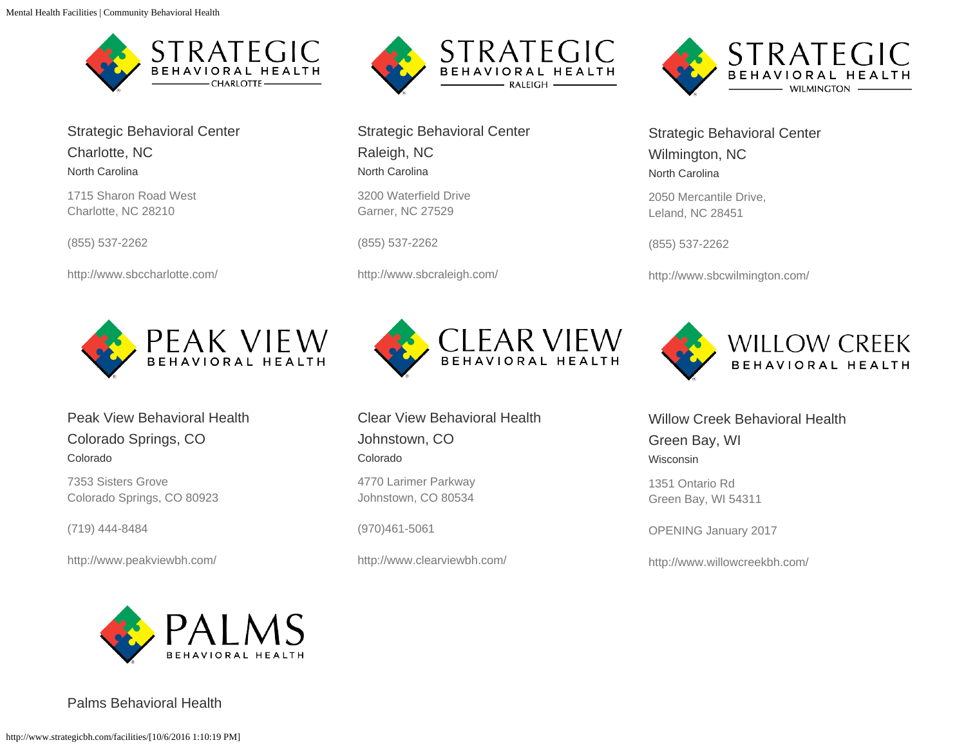

[Strategic Behavioral Center](http://www.strategicbh.com/portfolio-items/strategic-behavioral-center-charlotte-nc/)  [Charlotte, NC](http://www.strategicbh.com/portfolio-items/strategic-behavioral-center-charlotte-nc/) [North Carolina](http://www.strategicbh.com/portfolio_category/north-carolina/)

1715 Sharon Road West Charlotte, NC 28210

(855) 537-2262

http://www.sbccharlotte.com/



[Peak View Behavioral Health](http://www.strategicbh.com/portfolio-items/peak-view-behavioral-health-colorado-springs-co/)  [Colorado Springs, CO](http://www.strategicbh.com/portfolio-items/peak-view-behavioral-health-colorado-springs-co/) [Colorado](http://www.strategicbh.com/portfolio_category/colorado/)

7353 Sisters Grove Colorado Springs, CO 80923

(719) 444-8484

http://www.peakviewbh.com/



[Strategic Behavioral Center](http://www.strategicbh.com/portfolio-items/strategic-behavioral-center-raleigh-nc/)  [Raleigh, NC](http://www.strategicbh.com/portfolio-items/strategic-behavioral-center-raleigh-nc/) [North Carolina](http://www.strategicbh.com/portfolio_category/north-carolina/)

3200 Waterfield Drive Garner, NC 27529

(855) 537-2262

http://www.sbcraleigh.com/



[Clear View Behavioral Health](http://www.strategicbh.com/portfolio-items/clear-view-behavioral-health-johnstown-co/)  [Johnstown, CO](http://www.strategicbh.com/portfolio-items/clear-view-behavioral-health-johnstown-co/) [Colorado](http://www.strategicbh.com/portfolio_category/colorado/)

4770 Larimer Parkway Johnstown, CO 80534

(970)461-5061

http://www.clearviewbh.com/



[Strategic Behavioral Center](http://www.strategicbh.com/portfolio-items/strategic-behavioral-center-wilmington-nc/)  [Wilmington, NC](http://www.strategicbh.com/portfolio-items/strategic-behavioral-center-wilmington-nc/) [North Carolina](http://www.strategicbh.com/portfolio_category/north-carolina/)

2050 Mercantile Drive, Leland, NC 28451

(855) 537-2262

http://www.sbcwilmington.com/



[Willow Creek Behavioral Health](http://www.strategicbh.com/portfolio-items/willow-creek-behavioral-health/) [Green Bay, WI](http://www.strategicbh.com/portfolio-items/willow-creek-behavioral-health/)

[Wisconsin](http://www.strategicbh.com/portfolio_category/wisconsin/)

1351 Ontario Rd Green Bay, WI 54311

OPENING January 2017

http://www.willowcreekbh.com/



[Palms Behavioral Health](http://www.strategicbh.com/portfolio-items/palms-behavioral-healthharlingen-tx/)